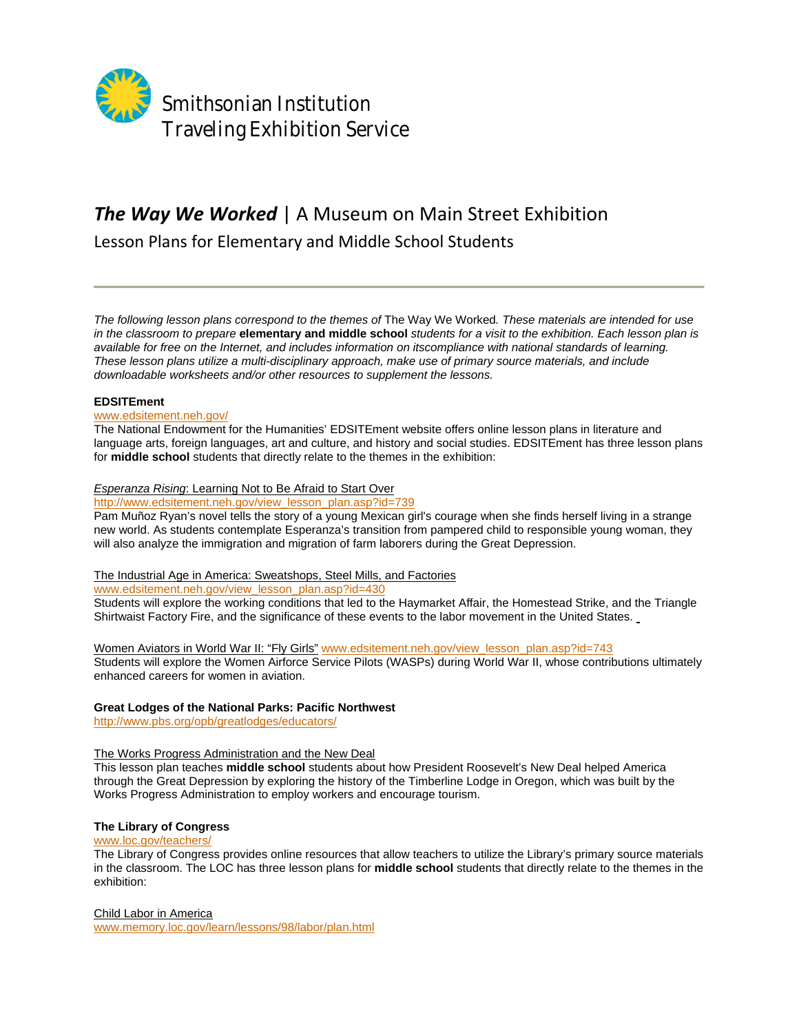

# *The Way We Worked* | A Museum on Main Street Exhibition

Lesson Plans for Elementary and Middle School Students

*The following lesson plans correspond to the themes of* The Way We Worked*. These materials are intended for use in the classroom to prepare* **elementary and middle school** *students for a visit to the exhibition. Each lesson plan is available for free on the Internet, and includes information on itscompliance with national standards of learning. These lesson plans utilize a multi-disciplinary approach, make use of primary source materials, and include downloadable worksheets and/or other resources to supplement the lessons.* 

## **EDSITEment**

## www.edsitement.neh.gov/

The National Endowment for the Humanities' EDSITEment website offers online lesson plans in literature and language arts, foreign languages, art and culture, and history and social studies. EDSITEment has three lesson plans for **middle school** students that directly relate to the themes in the exhibition:

## *Esperanza Rising*: Learning Not to Be Afraid to Start Over

http://www.edsitement.neh.gov/view\_lesson\_plan.asp?id=739

Pam Muñoz Ryan's novel tells the story of a young Mexican girl's courage when she finds herself living in a strange new world. As students contemplate Esperanza's transition from pampered child to responsible young woman, they will also analyze the immigration and migration of farm laborers during the Great Depression.

## The Industrial Age in America: Sweatshops, Steel Mills, and Factories

www.edsitement.neh.gov/view\_lesson\_plan.asp?id=430

Students will explore the working conditions that led to the Haymarket Affair, the Homestead Strike, and the Triangle Shirtwaist Factory Fire, and the significance of these events to the labor movement in the United States.

Women Aviators in World War II: "Fly Girls" www.edsitement.neh.gov/view\_lesson\_plan.asp?id=743 Students will explore the Women Airforce Service Pilots (WASPs) during World War II, whose contributions ultimately enhanced careers for women in aviation.

## **Great Lodges of the National Parks: Pacific Northwest**

http://www.pbs.org/opb/greatlodges/educators/

## The Works Progress Administration and the New Deal

This lesson plan teaches **middle school** students about how President Roosevelt's New Deal helped America through the Great Depression by exploring the history of the Timberline Lodge in Oregon, which was built by the Works Progress Administration to employ workers and encourage tourism.

## **The Library of Congress**

## www.loc.gov/teachers/

The Library of Congress provides online resources that allow teachers to utilize the Library's primary source materials in the classroom. The LOC has three lesson plans for **middle school** students that directly relate to the themes in the exhibition:

Child Labor in America

www.memory.loc.gov/learn/lessons/98/labor/plan.html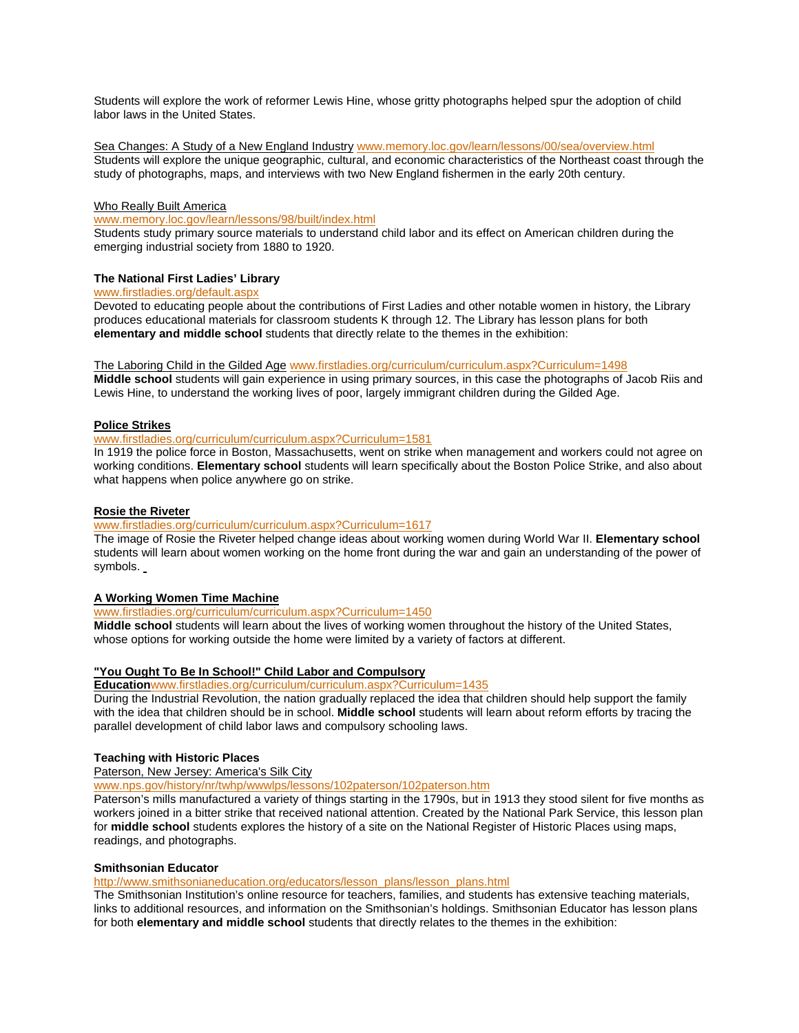Students will explore the work of reformer Lewis Hine, whose gritty photographs helped spur the adoption of child labor laws in the United States.

Sea Changes: A Study of a New England Industry www.memory.loc.gov/learn/lessons/00/sea/overview.html Students will explore the unique geographic, cultural, and economic characteristics of the Northeast coast through the study of photographs, maps, and interviews with two New England fishermen in the early 20th century.

#### Who Really Built America

www.memory.loc.gov/learn/lessons/98/built/index.html

Students study primary source materials to understand child labor and its effect on American children during the emerging industrial society from 1880 to 1920.

### **The National First Ladies' Library**

#### www.firstladies.org/default.aspx

Devoted to educating people about the contributions of First Ladies and other notable women in history, the Library produces educational materials for classroom students K through 12. The Library has lesson plans for both **elementary and middle school** students that directly relate to the themes in the exhibition:

The Laboring Child in the Gilded Age www.firstladies.org/curriculum/curriculum.aspx?Curriculum=1498

**Middle school** students will gain experience in using primary sources, in this case the photographs of Jacob Riis and Lewis Hine, to understand the working lives of poor, largely immigrant children during the Gilded Age.

#### **Police Strikes**

## www.firstladies.org/curriculum/curriculum.aspx?Curriculum=1581

In 1919 the police force in Boston, Massachusetts, went on strike when management and workers could not agree on working conditions. **Elementary school** students will learn specifically about the Boston Police Strike, and also about what happens when police anywhere go on strike.

### **Rosie the Riveter**

## www.firstladies.org/curriculum/curriculum.aspx?Curriculum=1617

The image of Rosie the Riveter helped change ideas about working women during World War II. **Elementary school**  students will learn about women working on the home front during the war and gain an understanding of the power of symbols.

## **A Working Women Time Machine**

www.firstladies.org/curriculum/curriculum.aspx?Curriculum=1450

**Middle school** students will learn about the lives of working women throughout the history of the United States, whose options for working outside the home were limited by a variety of factors at different.

## **"You Ought To Be In School!" Child Labor and Compulsory**

**Education**www.firstladies.org/curriculum/curriculum.aspx?Curriculum=1435

During the Industrial Revolution, the nation gradually replaced the idea that children should help support the family with the idea that children should be in school. **Middle school** students will learn about reform efforts by tracing the parallel development of child labor laws and compulsory schooling laws.

#### **Teaching with Historic Places**

Paterson, New Jersey: America's Silk City

www.nps.gov/history/nr/twhp/wwwlps/lessons/102paterson/102paterson.htm

Paterson's mills manufactured a variety of things starting in the 1790s, but in 1913 they stood silent for five months as workers joined in a bitter strike that received national attention. Created by the National Park Service, this lesson plan for **middle school** students explores the history of a site on the National Register of Historic Places using maps, readings, and photographs.

#### **Smithsonian Educator**

http://www.smithsonianeducation.org/educators/lesson\_plans/lesson\_plans.html

The Smithsonian Institution's online resource for teachers, families, and students has extensive teaching materials, links to additional resources, and information on the Smithsonian's holdings. Smithsonian Educator has lesson plans for both **elementary and middle school** students that directly relates to the themes in the exhibition: